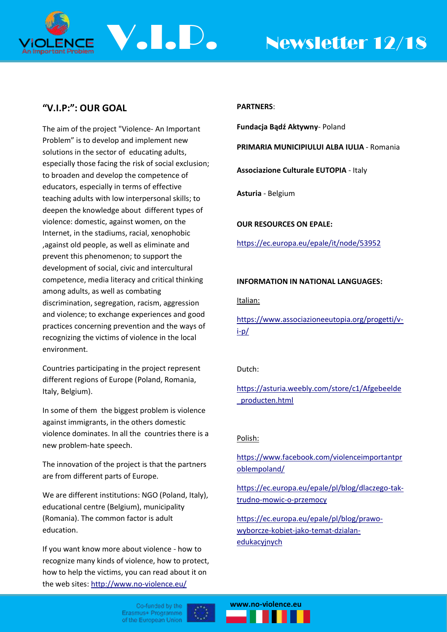

# **"V.I.P:": OUR GOAL**

The aim of the project "Violence- An Important Problem" is to develop and implement new solutions in the sector of educating adults, especially those facing the risk of social exclusion; to broaden and develop the competence of educators, especially in terms of effective teaching adults with low interpersonal skills; to deepen the knowledge about different types of violence: domestic, against women, on the Internet, in the stadiums, racial, xenophobic ,against old people, as well as eliminate and prevent this phenomenon; to support the development of social, civic and intercultural competence, media literacy and critical thinking among adults, as well as combating discrimination, segregation, racism, aggression and violence; to exchange experiences and good practices concerning prevention and the ways of recognizing the victims of violence in the local environment.

Countries participating in the project represent different regions of Europe (Poland, Romania, Italy, Belgium).

In some of them the biggest problem is violence against immigrants, in the others domestic violence dominates. In all the countries there is a new problem-hate speech.

The innovation of the project is that the partners are from different parts of Europe.

We are different institutions: NGO (Poland, Italy), educational centre (Belgium), municipality (Romania). The common factor is adult education.

If you want know more about violence - how to recognize many kinds of violence, how to protect, how to help the victims, you can read about it on the web sites: <http://www.no-violence.eu/>

# **PARTNERS**:

**Fundacja Bądź Aktywny**- Poland

**PRIMARIA MUNICIPIULUI ALBA IULIA** - Romania

**Associazione Culturale EUTOPIA** - Italy

**Asturia** - Belgium

**OUR RESOURCES ON EPALE:**

<https://ec.europa.eu/epale/it/node/53952>

# **INFORMATION IN NATIONAL LANGUAGES:**

## Italian:

[https://www.associazioneeutopia.org/progetti/v](https://www.associazioneeutopia.org/progetti/v-i-p/)[i-p/](https://www.associazioneeutopia.org/progetti/v-i-p/)

# Dutch:

[https://asturia.weebly.com/store/c1/Afgebeelde](https://asturia.weebly.com/store/c1/Afgebeelde_producten.html) [\\_producten.html](https://asturia.weebly.com/store/c1/Afgebeelde_producten.html)

# Polish:

[https://www.facebook.com/violenceimportantpr](https://www.facebook.com/violenceimportantproblempoland/) [oblempoland/](https://www.facebook.com/violenceimportantproblempoland/)

[https://ec.europa.eu/epale/pl/blog/dlaczego-tak](https://ec.europa.eu/epale/pl/blog/dlaczego-tak-trudno-mowic-o-przemocy)[trudno-mowic-o-przemocy](https://ec.europa.eu/epale/pl/blog/dlaczego-tak-trudno-mowic-o-przemocy)

[https://ec.europa.eu/epale/pl/blog/prawo](https://ec.europa.eu/epale/pl/blog/prawo-wyborcze-kobiet-jako-temat-dzialan-edukacyjnych)[wyborcze-kobiet-jako-temat-dzialan](https://ec.europa.eu/epale/pl/blog/prawo-wyborcze-kobiet-jako-temat-dzialan-edukacyjnych)[edukacyjnych](https://ec.europa.eu/epale/pl/blog/prawo-wyborcze-kobiet-jako-temat-dzialan-edukacyjnych)

Co-funded by the Erasmus+ Programme of the European Union



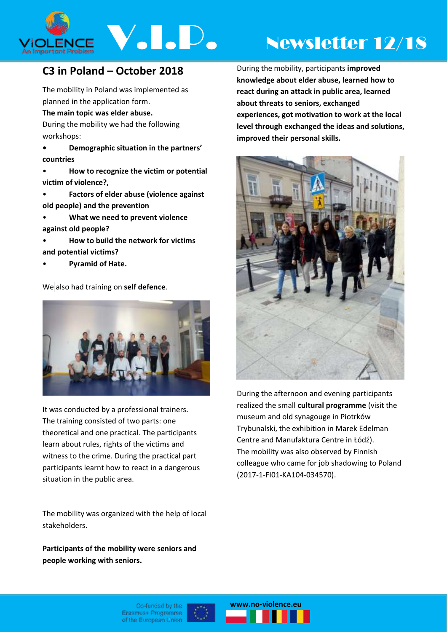

# **C3 in Poland – October 2018**

The mobility in Poland was implemented as planned in the application form.

**The main topic was elder abuse.**

During the mobility we had the following workshops:

- **• Demographic situation in the partners' countries**
- **How to recognize the victim or potential victim of violence?,**
- **Factors of elder abuse (violence against old people) and the prevention**
- **What we need to prevent violence against old people?**
- **How to build the network for victims and potential victims?**
- **Pyramid of Hate.**

We also had training on **self defence**.



It was conducted by a professional trainers. The training consisted of two parts: one theoretical and one practical. The participants learn about rules, rights of the victims and witness to the crime. During the practical part participants learnt how to react in a dangerous situation in the public area.

The mobility was organized with the help of local stakeholders.

**Participants of the mobility were seniors and people working with seniors.**

During the mobility, participants **improved knowledge about elder abuse, learned how to react during an attack in public area, learned about threats to seniors, exchanged experiences, got motivation to work at the local level through exchanged the ideas and solutions, improved their personal skills.**



During the afternoon and evening participants realized the small **cultural programme** (visit the museum and old synagouge in Piotrków Trybunalski, the exhibition in Marek Edelman Centre and Manufaktura Centre in Łódź). The mobility was also observed by Finnish colleague who came for job shadowing to Poland (2017-1-FI01-KA104-034570).



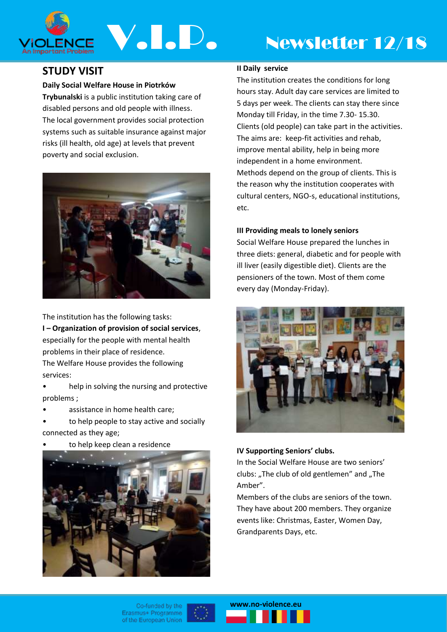

# ENCE V.I.D. Newsletter 12/18

# **STUDY VISIT**

# **Daily Social Welfare House in Piotrków**

**Trybunalski** is a public institution taking care of disabled persons and old people with illness. The local government provides social protection systems such as suitable insurance against major risks (ill health, old age) at levels that prevent poverty and social exclusion.



The institution has the following tasks: **I – Organization of provision of social services**, especially for the people with mental health problems in their place of residence. The Welfare House provides the following services:

• help in solving the nursing and protective problems ;

- assistance in home health care;
- to help people to stay active and socially connected as they age;
- to help keep clean a residence



# **II Daily service**

The institution creates the conditions for long hours stay. Adult day care services are limited to 5 days per week. The clients can stay there since Monday till Friday, in the time 7.30- 15.30. Clients (old people) can take part in the activities. The aims are: keep-fit activities and rehab, improve mental ability, help in being more independent in a home environment. Methods depend on the group of clients. This is the reason why the institution cooperates with cultural centers, NGO-s, educational institutions, etc.

# **III Providing meals to lonely seniors**

Social Welfare House prepared the lunches in three diets: general, diabetic and for people with ill liver (easily digestible diet). Clients are the pensioners of the town. Most of them come every day (Monday-Friday).



# **IV Supporting Seniors' clubs.**

In the Social Welfare House are two seniors' clubs: "The club of old gentlemen" and "The Amber".

Members of the clubs are seniors of the town. They have about 200 members. They organize events like: Christmas, Easter, Women Day, Grandparents Days, etc.

Co-funded by the Erasmus+ Programme of the European Union



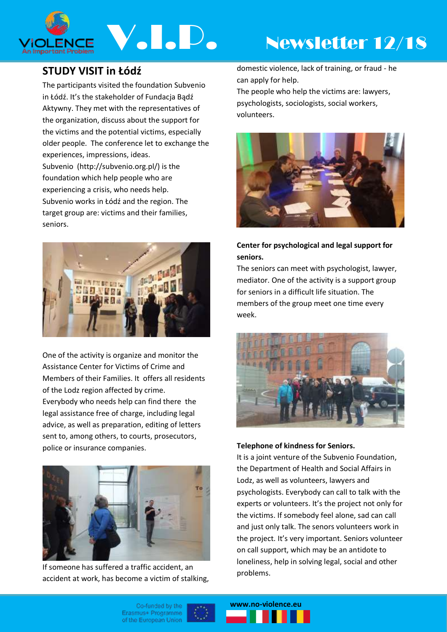

# **STUDY VISIT in Łódź**

The participants visited the foundation Subvenio in Łódź. It's the stakeholder of Fundacja Bądź Aktywny. They met with the representatives of the organization, discuss about the support for the victims and the potential victims, especially older people. The conference let to exchange the experiences, impressions, ideas. Subvenio (http://subvenio.org.pl/) is the foundation which help people who are experiencing a crisis, who needs help. Subvenio works in Łódź and the region. The target group are: victims and their families, seniors.



One of the activity is organize and monitor the Assistance Center for Victims of Crime and Members of their Families. It offers all residents of the Lodz region affected by crime. Everybody who needs help can find there the legal assistance free of charge, including legal advice, as well as preparation, editing of letters sent to, among others, to courts, prosecutors, police or insurance companies.



If someone has suffered a traffic accident, an accident at work, has become a victim of stalking, domestic violence, lack of training, or fraud - he can apply for help.

The people who help the victims are: lawyers, psychologists, sociologists, social workers, volunteers.



# **Center for psychological and legal support for seniors.**

The seniors can meet with psychologist, lawyer, mediator. One of the activity is a support group for seniors in a difficult life situation. The members of the group meet one time every week.



# **Telephone of kindness for Seniors.**

It is a joint venture of the Subvenio Foundation, the Department of Health and Social Affairs in Lodz, as well as volunteers, lawyers and psychologists. Everybody can call to talk with the experts or volunteers. It's the project not only for the victims. If somebody feel alone, sad can call and just only talk. The senors volunteers work in the project. It's very important. Seniors volunteer on call support, which may be an antidote to loneliness, help in solving legal, social and other problems.

Co-funded by the Erasmus+ Programme of the European Union